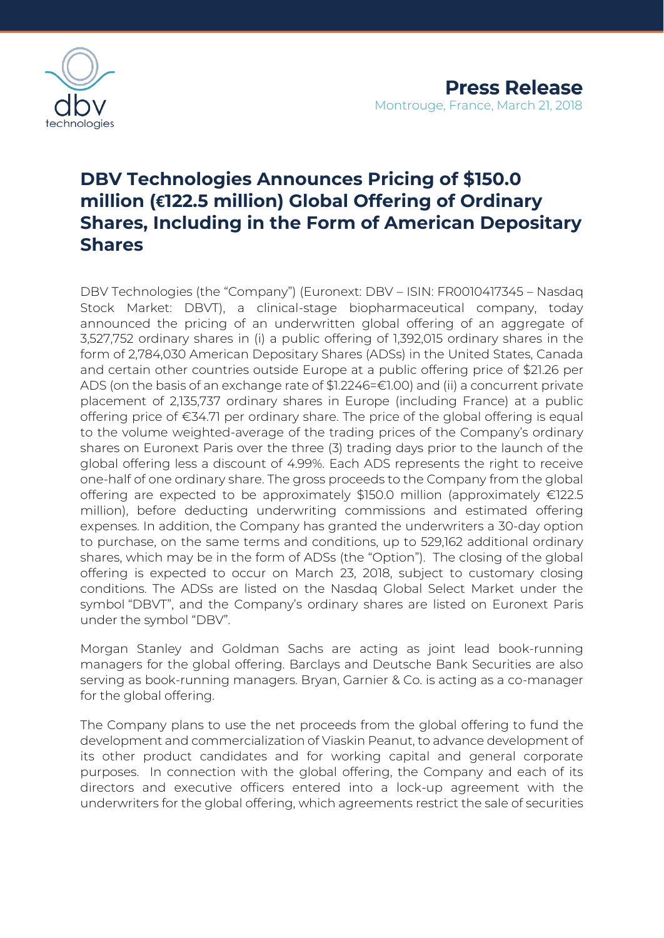

# **DBV Technologies Announces Pricing of \$150.0 million (€122.5 million) Global Offering of Ordinary Shares, Including in the Form of American Depositary Shares**

DBV Technologies (the "Company") (Euronext: DBV – ISIN: FR0010417345 – Nasdaq Stock Market: DBVT), a clinical-stage biopharmaceutical company, today announced the pricing of an underwritten global offering of an aggregate of 3,527,752 ordinary shares in (i) a public offering of 1,392,015 ordinary shares in the form of 2,784,030 American Depositary Shares (ADSs) in the United States, Canada and certain other countries outside Europe at a public offering price of \$21.26 per ADS (on the basis of an exchange rate of \$1.2246=€1.00) and (ii) a concurrent private placement of 2,135,737 ordinary shares in Europe (including France) at a public offering price of €34.71 per ordinary share. The price of the global offering is equal to the volume weighted-average of the trading prices of the Company's ordinary shares on Euronext Paris over the three (3) trading days prior to the launch of the global offering less a discount of 4.99%. Each ADS represents the right to receive one-half of one ordinary share. The gross proceeds to the Company from the global offering are expected to be approximately \$150.0 million (approximately €122.5 million), before deducting underwriting commissions and estimated offering expenses. In addition, the Company has granted the underwriters a 30-day option to purchase, on the same terms and conditions, up to 529,162 additional ordinary shares, which may be in the form of ADSs (the "Option"). The closing of the global offering is expected to occur on March 23, 2018, subject to customary closing conditions. The ADSs are listed on the Nasdaq Global Select Market under the symbol "DBVT", and the Company's ordinary shares are listed on Euronext Paris under the symbol "DBV".

Morgan Stanley and Goldman Sachs are acting as joint lead book-running managers for the global offering. Barclays and Deutsche Bank Securities are also serving as book-running managers. Bryan, Garnier & Co. is acting as a co-manager for the global offering.

The Company plans to use the net proceeds from the global offering to fund the development and commercialization of Viaskin Peanut, to advance development of its other product candidates and for working capital and general corporate purposes. In connection with the global offering, the Company and each of its directors and executive officers entered into a lock-up agreement with the underwriters for the global offering, which agreements restrict the sale of securities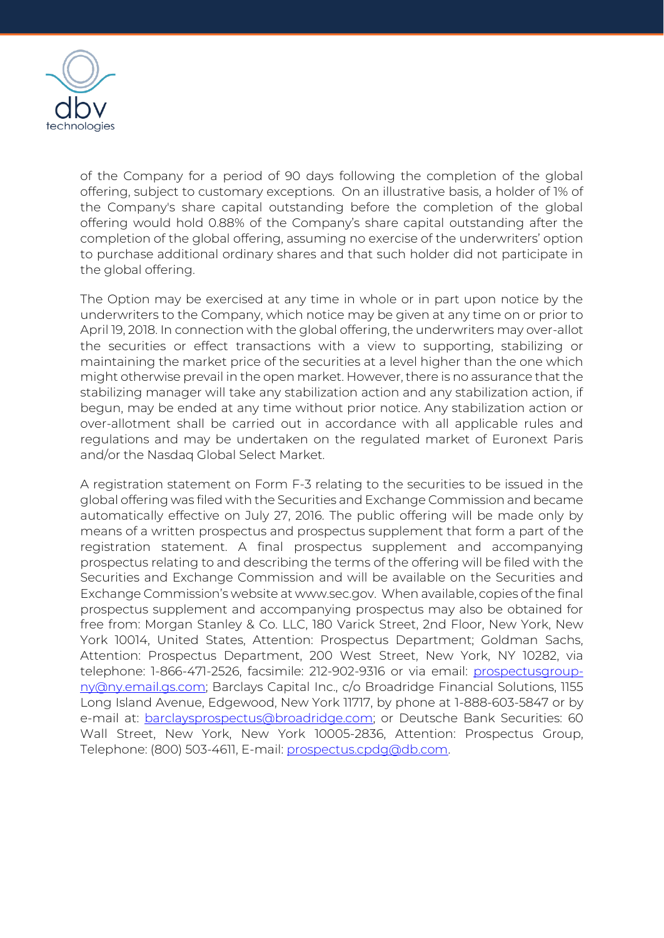

of the Company for a period of 90 days following the completion of the global offering, subject to customary exceptions. On an illustrative basis, a holder of 1% of the Company's share capital outstanding before the completion of the global offering would hold 0.88% of the Company's share capital outstanding after the completion of the global offering, assuming no exercise of the underwriters' option to purchase additional ordinary shares and that such holder did not participate in the global offering.

The Option may be exercised at any time in whole or in part upon notice by the underwriters to the Company, which notice may be given at any time on or prior to April 19, 2018. In connection with the global offering, the underwriters may over-allot the securities or effect transactions with a view to supporting, stabilizing or maintaining the market price of the securities at a level higher than the one which might otherwise prevail in the open market. However, there is no assurance that the stabilizing manager will take any stabilization action and any stabilization action, if begun, may be ended at any time without prior notice. Any stabilization action or over-allotment shall be carried out in accordance with all applicable rules and regulations and may be undertaken on the regulated market of Euronext Paris and/or the Nasdaq Global Select Market.

A registration statement on Form F-3 relating to the securities to be issued in the global offering was filed with the Securities and Exchange Commission and became automatically effective on July 27, 2016. The public offering will be made only by means of a written prospectus and prospectus supplement that form a part of the registration statement. A final prospectus supplement and accompanying prospectus relating to and describing the terms of the offering will be filed with the Securities and Exchange Commission and will be available on the Securities and Exchange Commission's website at www.sec.gov. When available, copies of the final prospectus supplement and accompanying prospectus may also be obtained for free from: Morgan Stanley & Co. LLC, 180 Varick Street, 2nd Floor, New York, New York 10014, United States, Attention: Prospectus Department; Goldman Sachs, Attention: Prospectus Department, 200 West Street, New York, NY 10282, via telephone: 1-866-471-2526, facsimile: 212-902-9316 or via email: [prospectusgroup](mailto:prospectusgroup-ny@ny.email.gs.com)[ny@ny.email.gs.com;](mailto:prospectusgroup-ny@ny.email.gs.com) Barclays Capital Inc., c/o Broadridge Financial Solutions, 1155 Long Island Avenue, Edgewood, New York 11717, by phone at 1-888-603-5847 or by e-mail at: **barclaysprospectus@broadridge.com**; or Deutsche Bank Securities: 60 Wall Street, New York, New York 10005-2836, Attention: Prospectus Group, Telephone: (800) 503-4611, E-mail: [prospectus.cpdg@db.com.](mailto:prospectus.cpdg@db.com)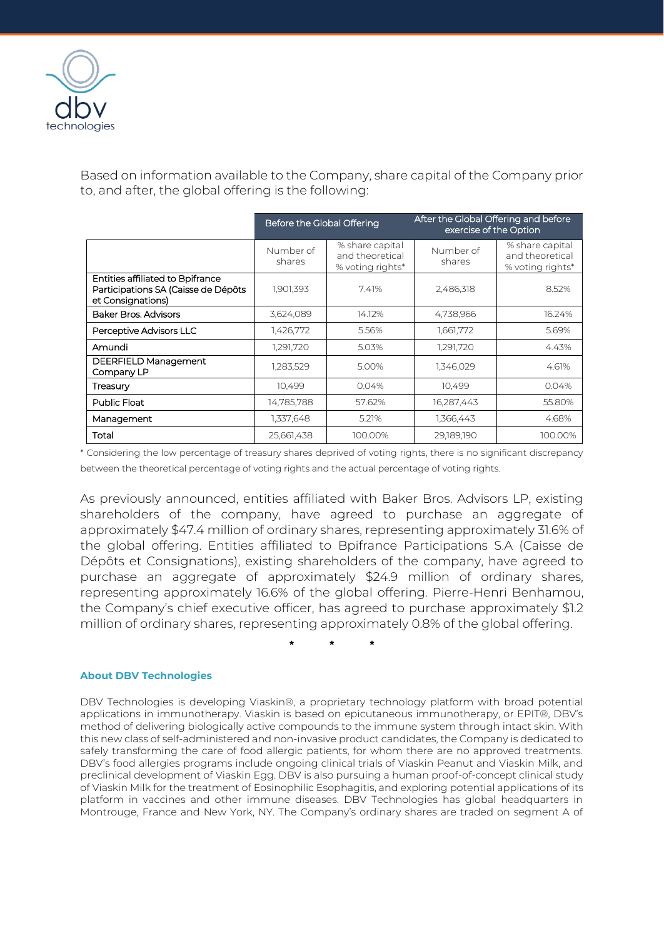

Based on information available to the Company, share capital of the Company prior to, and after, the global offering is the following:

|                                                                                              | Before the Global Offering |                                                        | After the Global Offering and before<br>exercise of the Option |                                                        |
|----------------------------------------------------------------------------------------------|----------------------------|--------------------------------------------------------|----------------------------------------------------------------|--------------------------------------------------------|
|                                                                                              | Number of<br>shares        | % share capital<br>and theoretical<br>% voting rights* | Number of<br>shares                                            | % share capital<br>and theoretical<br>% voting rights* |
| Entities affiliated to Bpifrance<br>Participations SA (Caisse de Dépôts<br>et Consignations) | 1.901,393                  | 7.41%                                                  | 2,486,318                                                      | 8.52%                                                  |
| Baker Bros, Advisors                                                                         | 3,624,089                  | 14.12%                                                 | 4,738,966                                                      | 16.24%                                                 |
| Perceptive Advisors LLC                                                                      | 1,426,772                  | 5.56%                                                  | 1,661,772                                                      | 5.69%                                                  |
| Amundi                                                                                       | 1,291,720                  | 5.03%                                                  | 1,291,720                                                      | 4.43%                                                  |
| DEERFIELD Management<br>Company LP                                                           | 1,283,529                  | 5.00%                                                  | 1,346,029                                                      | 4.61%                                                  |
| Treasury                                                                                     | 10,499                     | 0.04%                                                  | 10,499                                                         | 0.04%                                                  |
| <b>Public Float</b>                                                                          | 14,785,788                 | 57.62%                                                 | 16,287,443                                                     | 55.80%                                                 |
| Management                                                                                   | 1,337,648                  | 5.21%                                                  | 1,366,443                                                      | 4.68%                                                  |
| Total                                                                                        | 25,661,438                 | 100.00%                                                | 29,189,190                                                     | 100.00%                                                |

\* Considering the low percentage of treasury shares deprived of voting rights, there is no significant discrepancy between the theoretical percentage of voting rights and the actual percentage of voting rights.

As previously announced, entities affiliated with Baker Bros. Advisors LP, existing shareholders of the company, have agreed to purchase an aggregate of approximately \$47.4 million of ordinary shares, representing approximately 31.6% of the global offering. Entities affiliated to Bpifrance Participations S.A (Caisse de Dépôts et Consignations), existing shareholders of the company, have agreed to purchase an aggregate of approximately \$24.9 million of ordinary shares, representing approximately 16.6% of the global offering. Pierre-Henri Benhamou, the Company's chief executive officer, has agreed to purchase approximately \$1.2 million of ordinary shares, representing approximately 0.8% of the global offering.

**\* \* \***

## **About DBV Technologies**

DBV Technologies is developing Viaskin®, a proprietary technology platform with broad potential applications in immunotherapy. Viaskin is based on epicutaneous immunotherapy, or EPIT®, DBV's method of delivering biologically active compounds to the immune system through intact skin. With this new class of self-administered and non-invasive product candidates, the Company is dedicated to safely transforming the care of food allergic patients, for whom there are no approved treatments. DBV's food allergies programs include ongoing clinical trials of Viaskin Peanut and Viaskin Milk, and preclinical development of Viaskin Egg. DBV is also pursuing a human proof-of-concept clinical study of Viaskin Milk for the treatment of Eosinophilic Esophagitis, and exploring potential applications of its platform in vaccines and other immune diseases. DBV Technologies has global headquarters in Montrouge, France and New York, NY. The Company's ordinary shares are traded on segment A of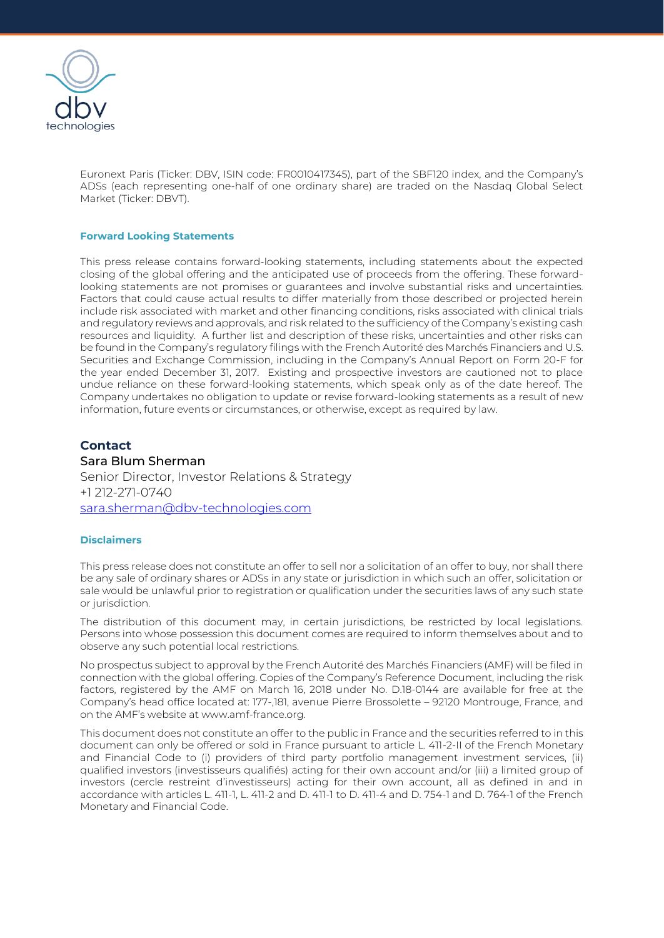

Euronext Paris (Ticker: DBV, ISIN code: FR0010417345), part of the SBF120 index, and the Company's ADSs (each representing one-half of one ordinary share) are traded on the Nasdaq Global Select Market (Ticker: DBVT).

### **Forward Looking Statements**

This press release contains forward-looking statements, including statements about the expected closing of the global offering and the anticipated use of proceeds from the offering. These forwardlooking statements are not promises or guarantees and involve substantial risks and uncertainties. Factors that could cause actual results to differ materially from those described or projected herein include risk associated with market and other financing conditions, risks associated with clinical trials and regulatory reviews and approvals, and risk related to the sufficiency of the Company's existing cash resources and liquidity. A further list and description of these risks, uncertainties and other risks can be found in the Company's regulatory filings with the French Autorité des Marchés Financiers and U.S. Securities and Exchange Commission, including in the Company's Annual Report on Form 20-F for the year ended December 31, 2017. Existing and prospective investors are cautioned not to place undue reliance on these forward-looking statements, which speak only as of the date hereof. The Company undertakes no obligation to update or revise forward-looking statements as a result of new information, future events or circumstances, or otherwise, except as required by law.

## **Contact**

## Sara Blum Sherman

Senior Director, Investor Relations & Strategy +1 212-271-0740 [sara.sherman@dbv-technologies.com](mailto:susanna.mesa@dbv-technologies.com)

### **Disclaimers**

This press release does not constitute an offer to sell nor a solicitation of an offer to buy, nor shall there be any sale of ordinary shares or ADSs in any state or jurisdiction in which such an offer, solicitation or sale would be unlawful prior to registration or qualification under the securities laws of any such state or jurisdiction.

The distribution of this document may, in certain jurisdictions, be restricted by local legislations. Persons into whose possession this document comes are required to inform themselves about and to observe any such potential local restrictions.

No prospectus subject to approval by the French Autorité des Marchés Financiers (AMF) will be filed in connection with the global offering. Copies of the Company's Reference Document, including the risk factors, registered by the AMF on March 16, 2018 under No. D.18-0144 are available for free at the Company's head office located at: 177-,181, avenue Pierre Brossolette – 92120 Montrouge, France, and on the AMF's website at www.amf-france.org.

This document does not constitute an offer to the public in France and the securities referred to in this document can only be offered or sold in France pursuant to article L. 411-2-II of the French Monetary and Financial Code to (i) providers of third party portfolio management investment services, (ii) qualified investors (investisseurs qualifiés) acting for their own account and/or (iii) a limited group of investors (cercle restreint d'investisseurs) acting for their own account, all as defined in and in accordance with articles L. 411-1, L. 411-2 and D. 411-1 to D. 411-4 and D. 754-1 and D. 764-1 of the French Monetary and Financial Code.